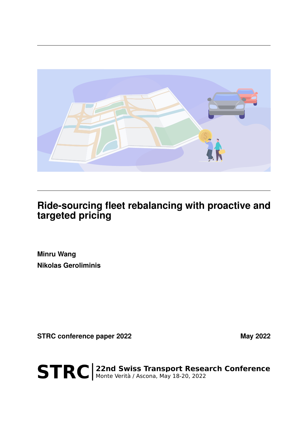

## **Ride-sourcing fleet rebalancing with proactive and targeted pricing**

**Minru Wang Nikolas Geroliminis**

**STRC conference paper 2022** May 2022

STRC | 22nd Swiss Transport Research Conference